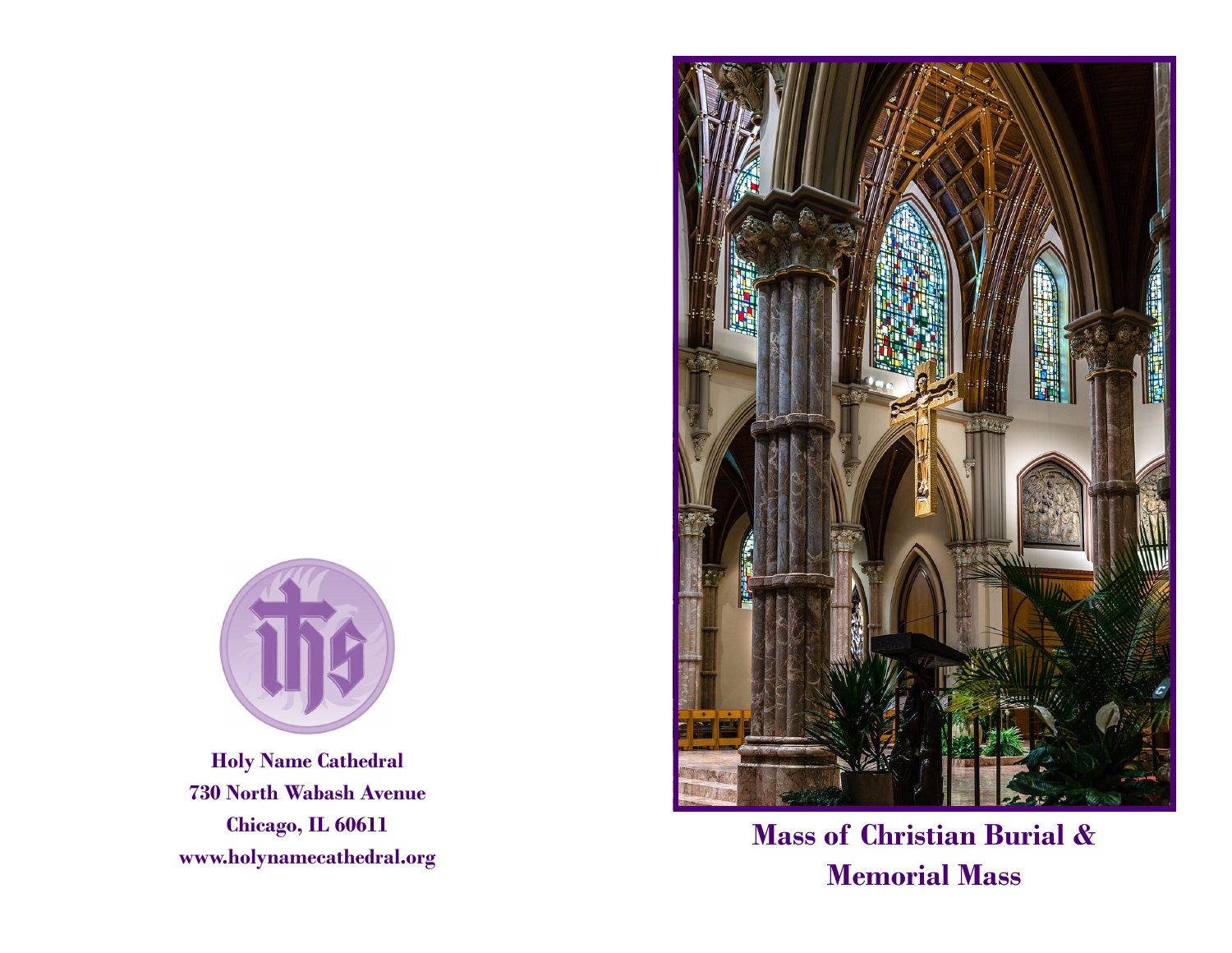

**Holy Name Cathedral 730 North Wabash Avenue Chicago, IL 60611 www.holynamecathedral.org** 



**Mass of Christian Burial & Memorial Mass**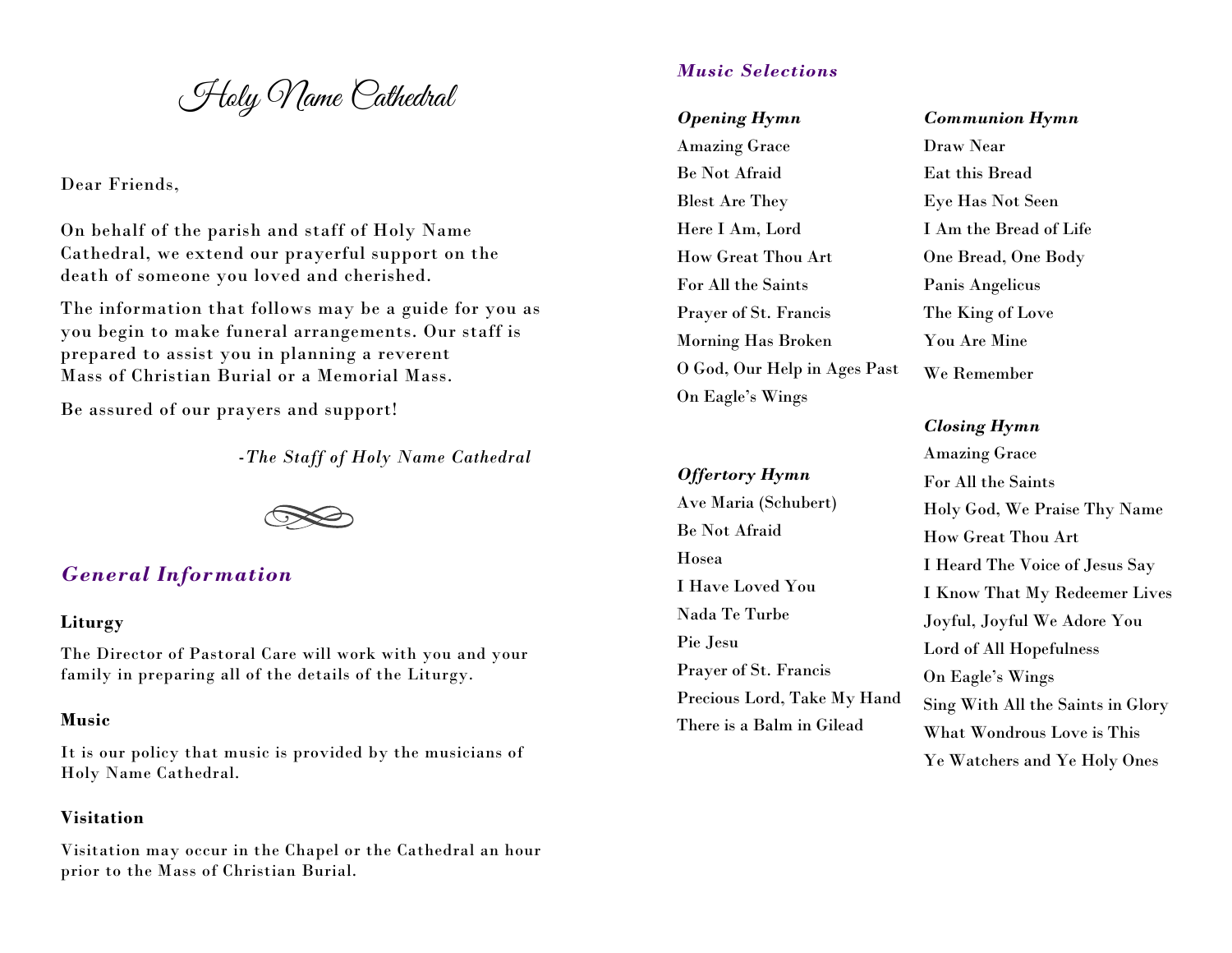Holy Name Cathedral

Dear Friends,

On behalf of the parish and staff of Holy Name Cathedral, we extend our prayerful support on the death of someone you loved and cherished.

The information that follows may be a guide for you as you begin to make funeral arrangements. Our staff is prepared to assist you in planning a reverent Mass of Christian Burial or a Memorial Mass.

Be assured of our prayers and support!

-*The Staff of Holy Name Cathedral*



# *General Information*

# **Liturgy**

The Director of Pastoral Care will work with you and your family in preparing all of the details of the Liturgy.

## **Music**

It is our policy that music is provided by the musicians of Holy Name Cathedral.

# **Visitation**

Visitation may occur in the Chapel or the Cathedral an hour prior to the Mass of Christian Burial.

# *Music Selections*

*Opening Hymn* Amazing Grace Be Not Afraid Blest Are They Here I Am, Lord How Great Thou Art For All the Saints Prayer of St. Francis Morning Has Broken O God, Our Help in Ages Past On Eagle's Wings

## *Offertory Hymn*

Ave Maria (Schubert) Be Not Afraid Hosea I Have Loved You Nada Te Turbe Pie Jesu Prayer of St. Francis Precious Lord, Take My Hand There is a Balm in Gilead

*Communion Hymn* Draw Near Eat this Bread Eye Has Not Seen I Am the Bread of Life One Bread, One Body Panis Angelicus The King of Love You Are Mine We Remember

# *Closing Hymn*

Amazing Grace For All the Saints Holy God, We Praise Thy Name How Great Thou Art I Heard The Voice of Jesus Say I Know That My Redeemer Lives Joyful, Joyful We Adore You Lord of All Hopefulness On Eagle's Wings Sing With All the Saints in Glory What Wondrous Love is This Ye Watchers and Ye Holy Ones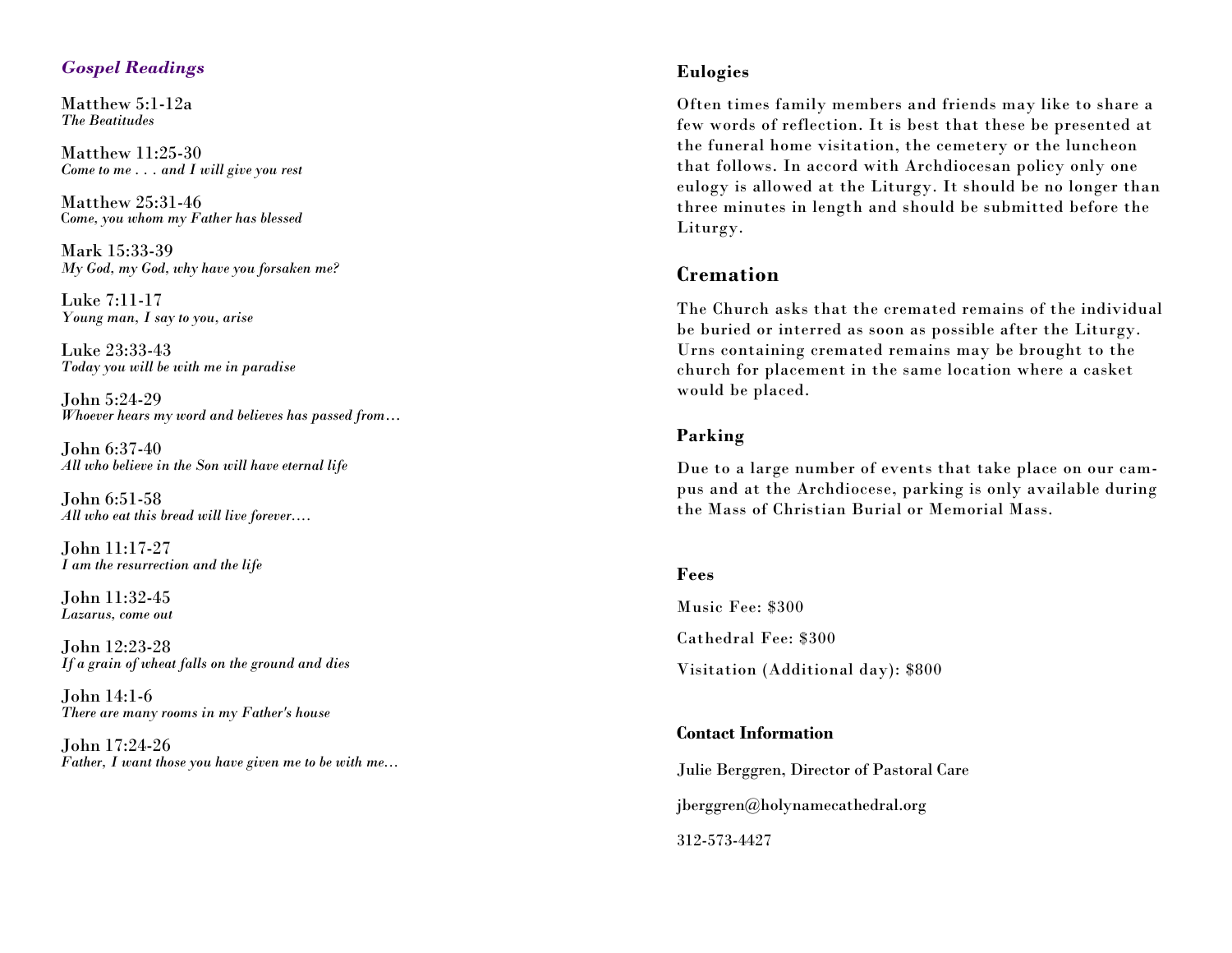# *Gospel Readings*

Matthew 5:1 -12a *The Beatitudes*

Matthew 11:25 -30 *Come to me . . . and I will give you rest*

Matthew 25:31 -46 C*ome, you whom my Father has blessed*

Mark 15:33 -39 *My God, my God, why have you forsaken me?*

Luke 7:11 -17 *Young man, I say to you, arise*

Luke 23:33 -43 *Today you will be with me in paradise*

John 5:24 -29 *Whoever hears my word and believes has passed from* …

John 6:37 -40 *All who believe in the Son will have eternal life*

John 6:51 -58 *All who eat this bread will live forever....*

John 11:17 -27 *I am the resurrection and the life*

John 11:32 -45 *Lazarus, come out*

John 12:23 -28 *If a grain of wheat falls on the ground and dies*

John 14:1 - 6 *There are many rooms in my Father's house*

John 17:24 -26 *Father, I want those you have given me to be with me...*

## **Eulogies**

Often times family members and friends may like to share a few words of reflection. It is best that these be presented at the funeral home visitation, the cemetery or the luncheon that follows. In accord with Archdiocesan policy only one eulogy is allowed at the Liturgy. It should be no longer than three minutes in length and should be submitted before the Liturgy.

# **Cremation**

The Church asks that the cremated remains of the individual be buried or interred as soon as possible after the Liturgy. Urns containing cremated remains may be brought to the church for placement in the same location where a casket would be placed.

#### **Parking**

Due to a large number of events that take place on our campus and at the Archdiocese, parking is only available during the Mass of Christian Burial or Memorial Mass.

#### **Fees**

Music Fee: \$300 Cathedral Fee: \$300 Visitation (Additional day): \$800

# **Contact Information**

Julie Berggren, Director of Pastoral Care jberggren@holynamecathedral.org 312 -573 -4427